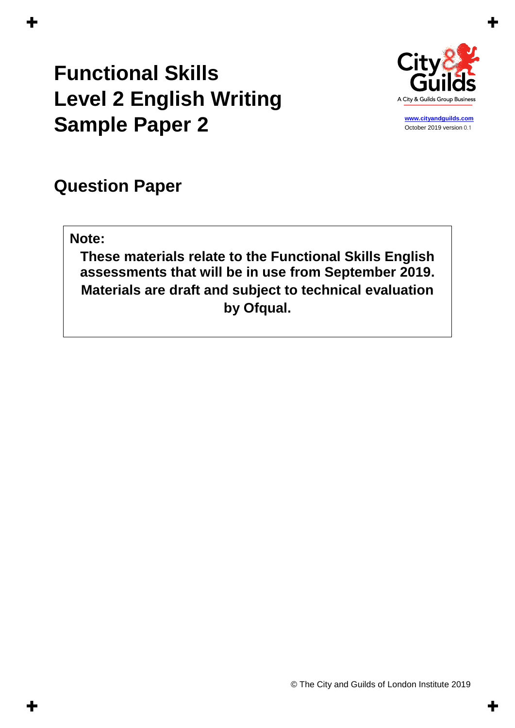# **Functional Skills Level 2 English Writing Sample Paper 2**



**www.cityandguilds.com** October <sup>2019</sup> version 0.1

**Question Paper**

**Note:**

▟▅

**These materials relate to the Functional Skills English assessments that will be in use from September 2019. Materials are draft and subject to technical evaluation by Ofqual.**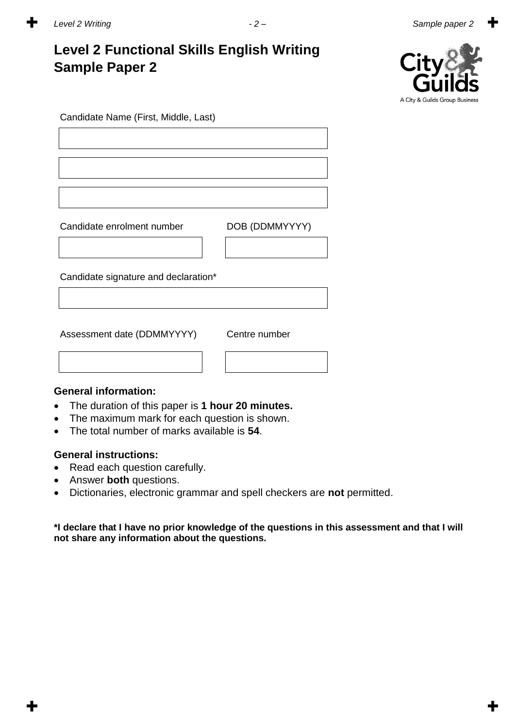

# **Level 2 Functional Skills English Writing Sample Paper 2**



Candidate enrolment number

Candidate signature and declaration\*

Assessment date (DDMMYYYY) Centre number

#### **General information:**

- The duration of this paper is **1 hour 20 minutes.**
- The maximum mark for each question is shown.
- The total number of marks available is **54**.

#### **General instructions:**

- Read each question carefully.
- Answer **both** questions.
- Dictionaries, electronic grammar and spell checkers are **not** permitted.

**\*I declare that I have no prior knowledge of the questions in this assessment and that I will not share any information about the questions.**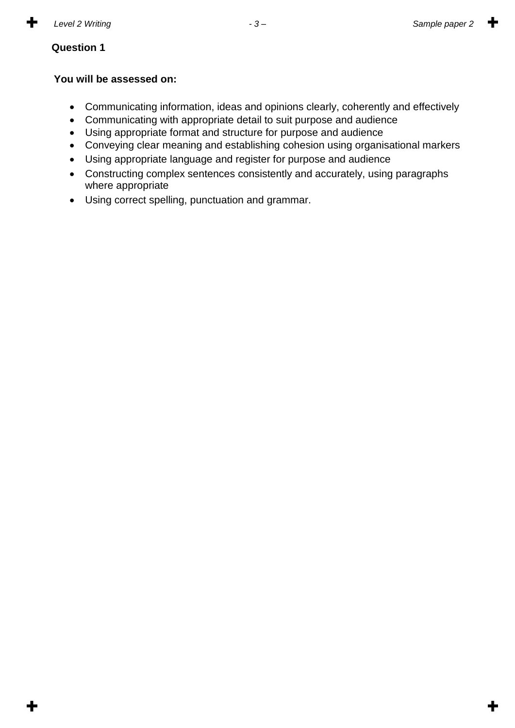

## **Question 1**

╺┡

#### **You will be assessed on:**

- Communicating information, ideas and opinions clearly, coherently and effectively
- Communicating with appropriate detail to suit purpose and audience
- Using appropriate format and structure for purpose and audience
- Conveying clear meaning and establishing cohesion using organisational markers
- Using appropriate language and register for purpose and audience
- Constructing complex sentences consistently and accurately, using paragraphs where appropriate
- Using correct spelling, punctuation and grammar.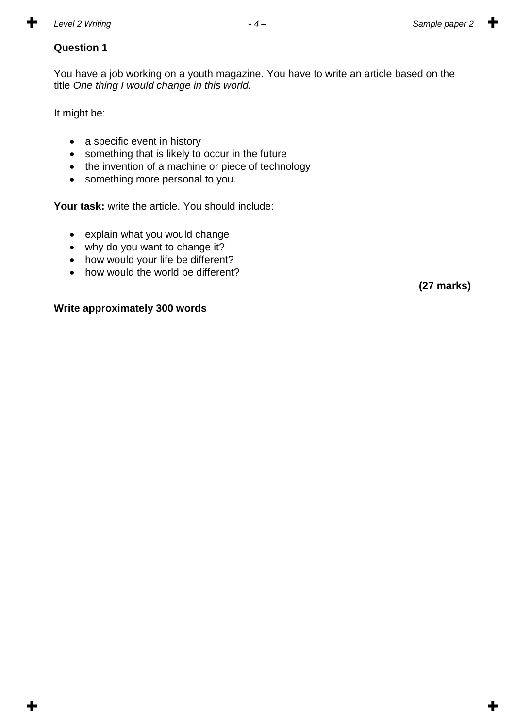

# **Question 1**

You have a job working on a youth magazine. You have to write an article based on the title *One thing I would change in this world*.

It might be:

╺╊

- a specific event in history
- something that is likely to occur in the future
- the invention of a machine or piece of technology
- something more personal to you.

**Your task:** write the article. You should include:

- explain what you would change
- why do you want to change it?
- how would your life be different?
- how would the world be different?

**(27 marks)**

#### **Write approximately 300 words**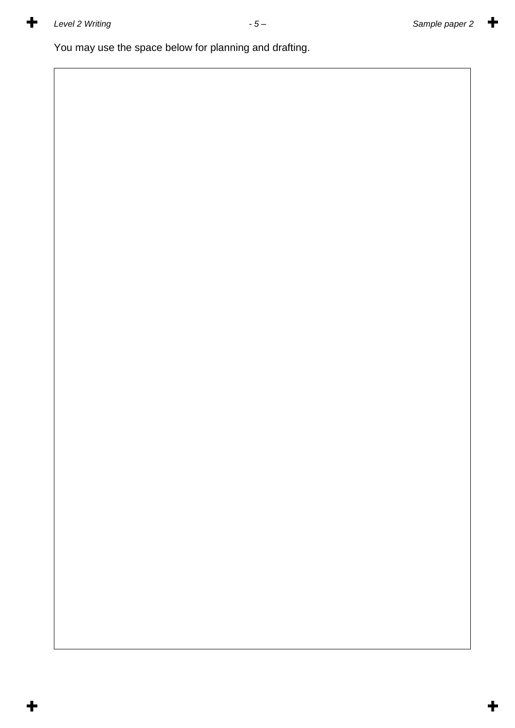

╈

 $\ddot{\textbf{r}}$ 

┿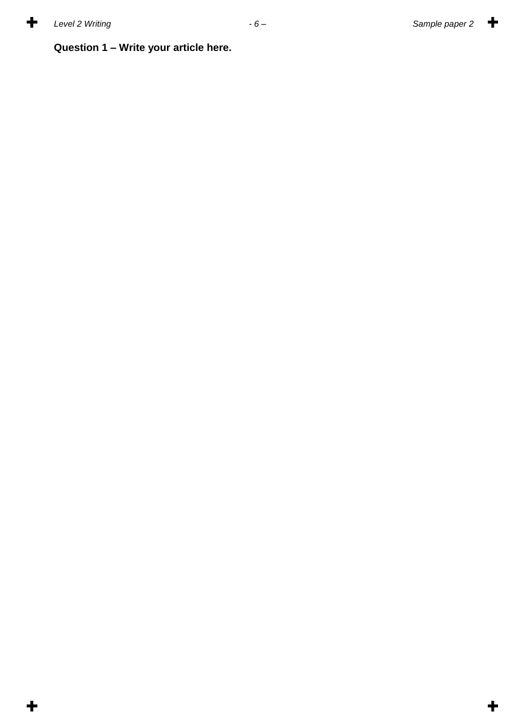

**Question 1 – Write your article here.**

╋

╋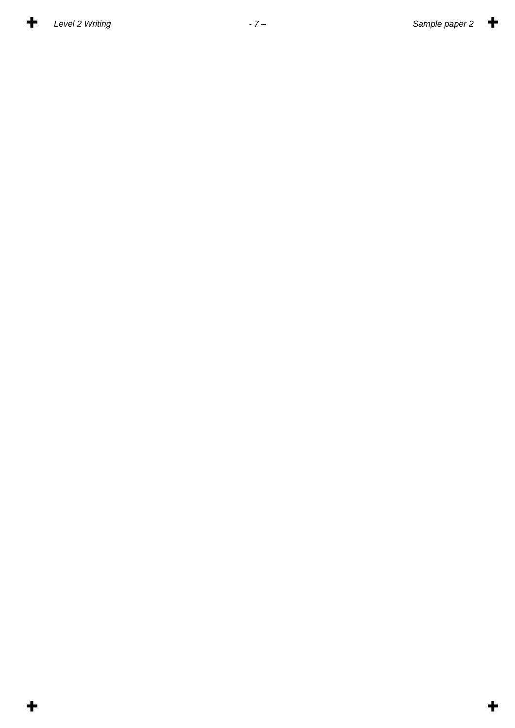



╋

 $\ddot{\phantom{1}}$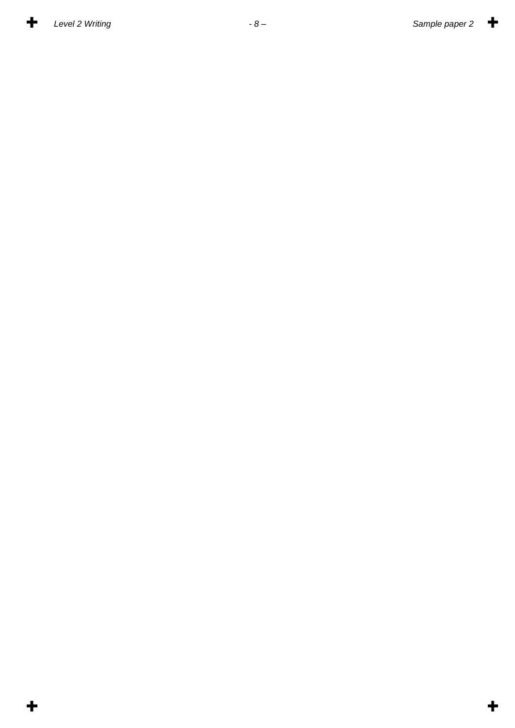



╋

 $\ddot{\phantom{1}}$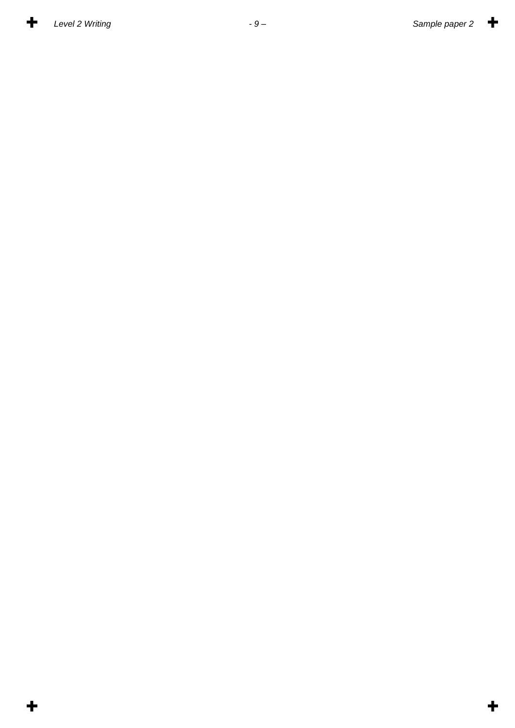



╋

 $\ddot{\phantom{1}}$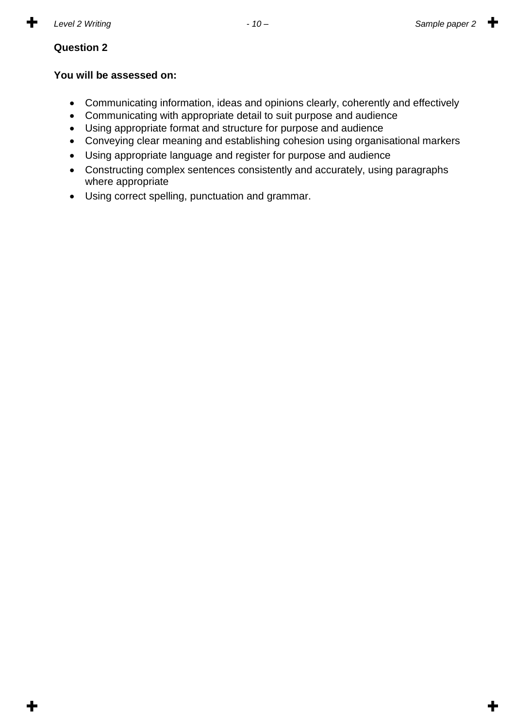

┽

## **Question 2**

#### **You will be assessed on:**

- Communicating information, ideas and opinions clearly, coherently and effectively
- Communicating with appropriate detail to suit purpose and audience
- Using appropriate format and structure for purpose and audience
- Conveying clear meaning and establishing cohesion using organisational markers
- Using appropriate language and register for purpose and audience
- Constructing complex sentences consistently and accurately, using paragraphs where appropriate
- Using correct spelling, punctuation and grammar.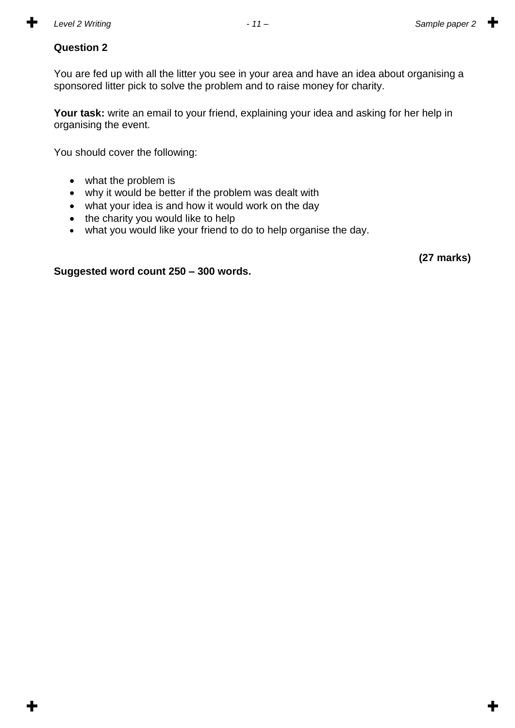┽

╋

-1-

# **Question 2**

You are fed up with all the litter you see in your area and have an idea about organising a sponsored litter pick to solve the problem and to raise money for charity.

Your task: write an email to your friend, explaining your idea and asking for her help in organising the event.

You should cover the following:

- what the problem is
- why it would be better if the problem was dealt with
- what your idea is and how it would work on the day
- the charity you would like to help
- what you would like your friend to do to help organise the day.

**(27 marks)**

## **Suggested word count 250 – 300 words.**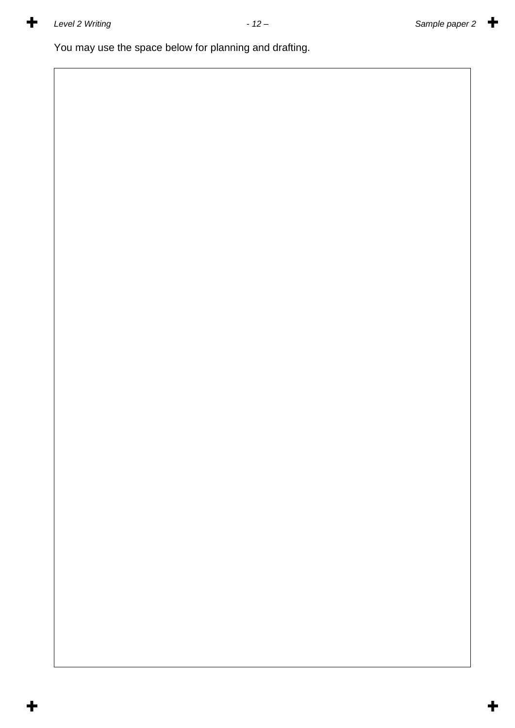

╈

 $\ddot{\textbf{r}}$ 

╈

You may use the space below for planning and drafting.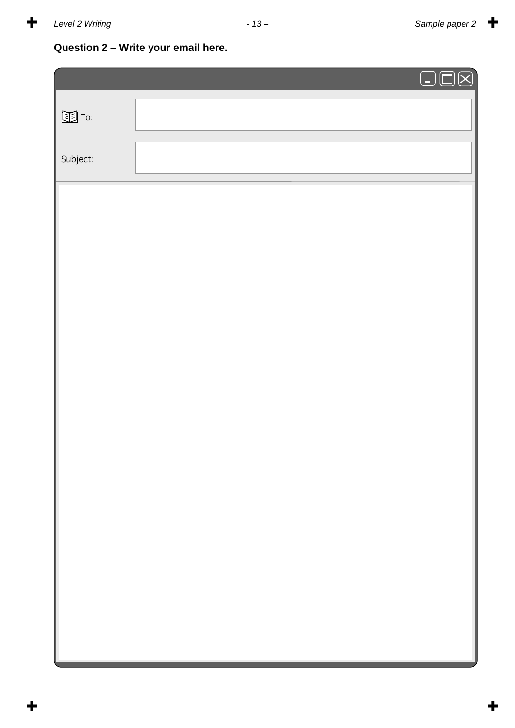╋

# **Question 2 – Write your email here.**

|          | $\overline{\square}$ O $\boxtimes$ |
|----------|------------------------------------|
| 国To:     |                                    |
| Subject: |                                    |
|          |                                    |
|          |                                    |
|          |                                    |
|          |                                    |
|          |                                    |
|          |                                    |
|          |                                    |
|          |                                    |
|          |                                    |
|          |                                    |
|          |                                    |
|          |                                    |
|          |                                    |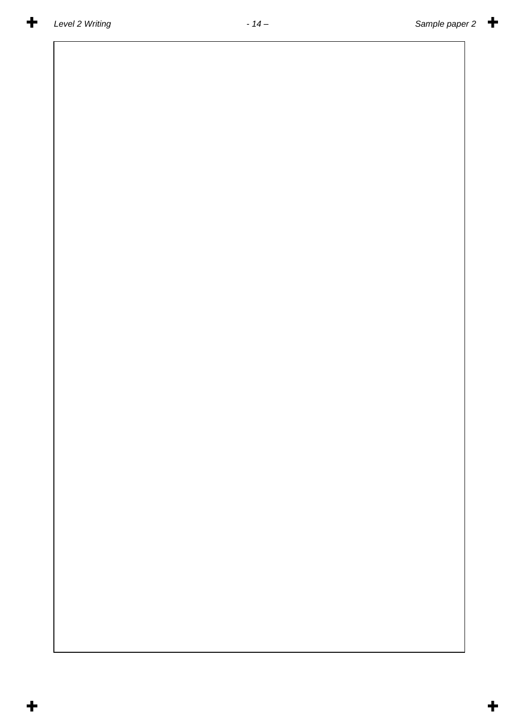

 $\ddag$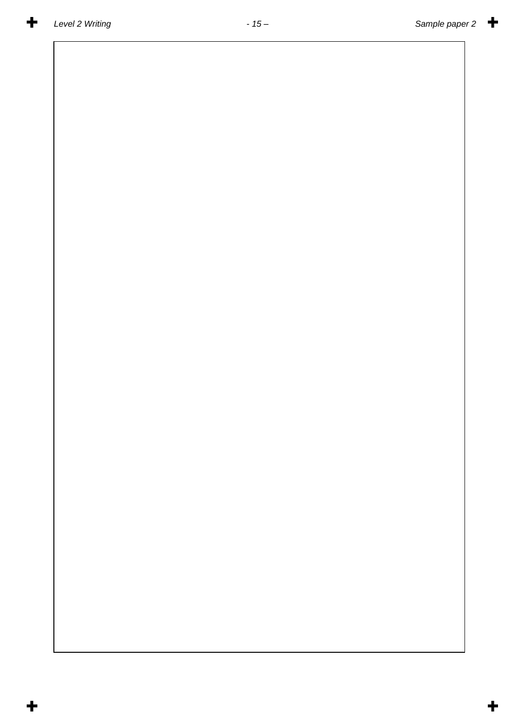

 $\ddag$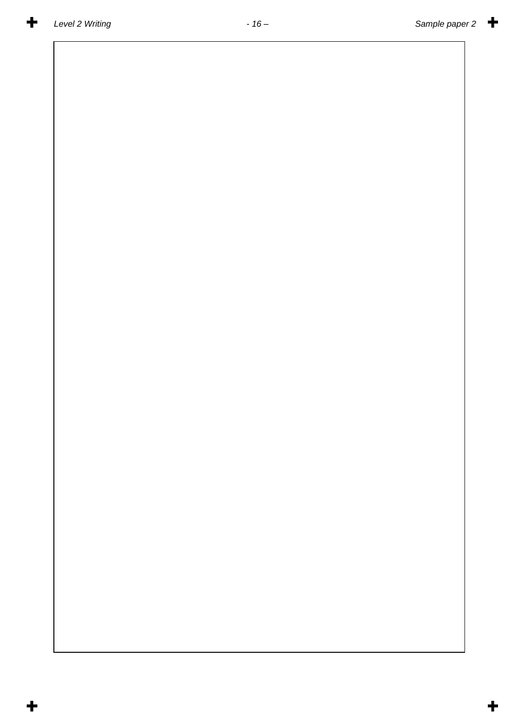

 $\ddag$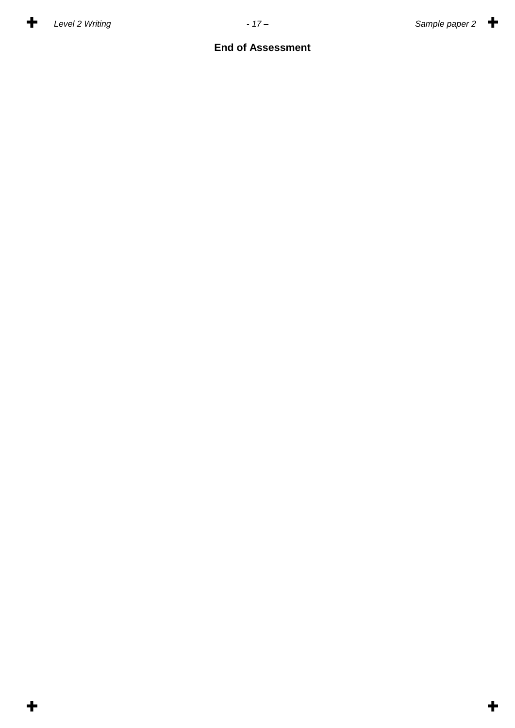

 $\ddot{\phantom{1}}$ 

# **End of Assessment**